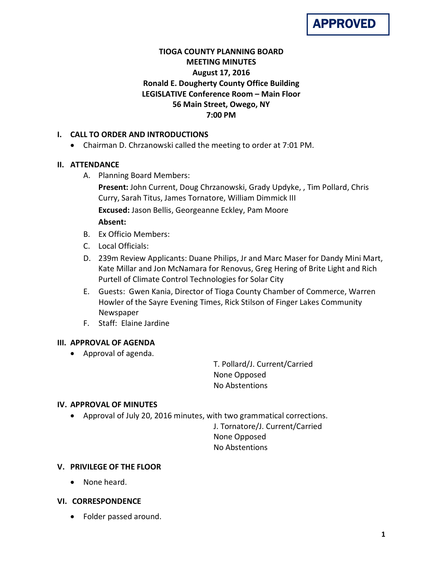

# **TIOGA COUNTY PLANNING BOARD MEETING MINUTES August 17, 2016 Ronald E. Dougherty County Office Building LEGISLATIVE Conference Room – Main Floor 56 Main Street, Owego, NY 7:00 PM**

## **I. CALL TO ORDER AND INTRODUCTIONS**

• Chairman D. Chrzanowski called the meeting to order at 7:01 PM.

## **II. ATTENDANCE**

A. Planning Board Members:

**Present:** John Current, Doug Chrzanowski, Grady Updyke, , Tim Pollard, Chris Curry, Sarah Titus, James Tornatore, William Dimmick III **Excused:** Jason Bellis, Georgeanne Eckley, Pam Moore **Absent:**

- B. Ex Officio Members:
- C. Local Officials:
- D. 239m Review Applicants: Duane Philips, Jr and Marc Maser for Dandy Mini Mart, Kate Millar and Jon McNamara for Renovus, Greg Hering of Brite Light and Rich Purtell of Climate Control Technologies for Solar City
- E. Guests: Gwen Kania, Director of Tioga County Chamber of Commerce, Warren Howler of the Sayre Evening Times, Rick Stilson of Finger Lakes Community Newspaper
- F. Staff: Elaine Jardine

## **III. APPROVAL OF AGENDA**

• Approval of agenda.

T. Pollard/J. Current/Carried None Opposed No Abstentions

## **IV. APPROVAL OF MINUTES**

• Approval of July 20, 2016 minutes, with two grammatical corrections.

J. Tornatore/J. Current/Carried None Opposed No Abstentions

## **V. PRIVILEGE OF THE FLOOR**

• None heard.

## **VI. CORRESPONDENCE**

• Folder passed around.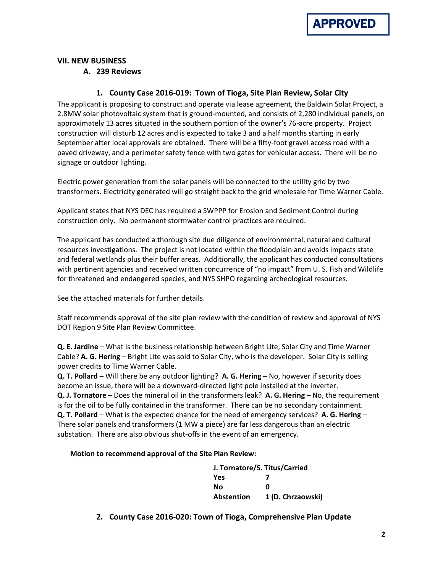

#### **VII. NEW BUSINESS**

**A. 239 Reviews**

#### **1. County Case 2016-019: Town of Tioga, Site Plan Review, Solar City**

The applicant is proposing to construct and operate via lease agreement, the Baldwin Solar Project, a 2.8MW solar photovoltaic system that is ground-mounted, and consists of 2,280 individual panels, on approximately 13 acres situated in the southern portion of the owner's 76-acre property. Project construction will disturb 12 acres and is expected to take 3 and a half months starting in early September after local approvals are obtained. There will be a fifty-foot gravel access road with a paved driveway, and a perimeter safety fence with two gates for vehicular access. There will be no signage or outdoor lighting.

Electric power generation from the solar panels will be connected to the utility grid by two transformers. Electricity generated will go straight back to the grid wholesale for Time Warner Cable.

Applicant states that NYS DEC has required a SWPPP for Erosion and Sediment Control during construction only. No permanent stormwater control practices are required.

The applicant has conducted a thorough site due diligence of environmental, natural and cultural resources investigations. The project is not located within the floodplain and avoids impacts state and federal wetlands plus their buffer areas. Additionally, the applicant has conducted consultations with pertinent agencies and received written concurrence of "no impact" from U. S. Fish and Wildlife for threatened and endangered species, and NYS SHPO regarding archeological resources.

See the attached materials for further details.

Staff recommends approval of the site plan review with the condition of review and approval of NYS DOT Region 9 Site Plan Review Committee.

**Q. E. Jardine** – What is the business relationship between Bright Lite, Solar City and Time Warner Cable? **A. G. Hering** – Bright Lite was sold to Solar City, who is the developer. Solar City is selling power credits to Time Warner Cable.

**Q. T. Pollard** – Will there be any outdoor lighting? **A. G. Hering** – No, however if security does become an issue, there will be a downward-directed light pole installed at the inverter. **Q. J. Tornatore** – Does the mineral oil in the transformers leak? **A. G. Hering** – No, the requirement is for the oil to be fully contained in the transformer. There can be no secondary containment. **Q. T. Pollard** – What is the expected chance for the need of emergency services? **A. G. Hering** – There solar panels and transformers (1 MW a piece) are far less dangerous than an electric substation. There are also obvious shut-offs in the event of an emergency.

#### **Motion to recommend approval of the Site Plan Review:**

**J. Tornatore/S. Titus/Carried Yes 7 No 0 Abstention 1 (D. Chrzaowski)**

**2. County Case 2016-020: Town of Tioga, Comprehensive Plan Update**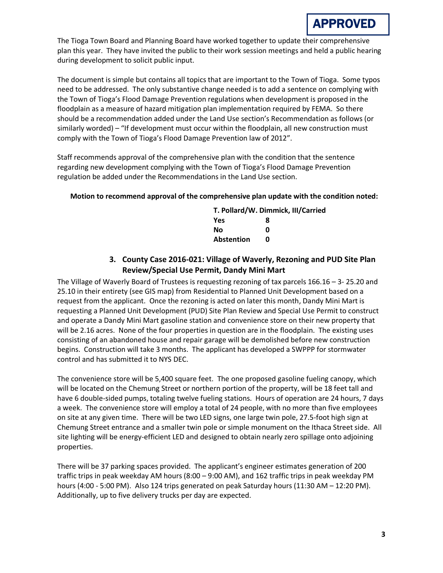The Tioga Town Board and Planning Board have worked together to update their comprehensive plan this year. They have invited the public to their work session meetings and held a public hearing during development to solicit public input.

The document is simple but contains all topics that are important to the Town of Tioga. Some typos need to be addressed. The only substantive change needed is to add a sentence on complying with the Town of Tioga's Flood Damage Prevention regulations when development is proposed in the floodplain as a measure of hazard mitigation plan implementation required by FEMA. So there should be a recommendation added under the Land Use section's Recommendation as follows (or similarly worded) – "If development must occur within the floodplain, all new construction must comply with the Town of Tioga's Flood Damage Prevention law of 2012".

Staff recommends approval of the comprehensive plan with the condition that the sentence regarding new development complying with the Town of Tioga's Flood Damage Prevention regulation be added under the Recommendations in the Land Use section.

#### **Motion to recommend approval of the comprehensive plan update with the condition noted:**

|                   | T. Pollard/W. Dimmick, III/Carried |  |
|-------------------|------------------------------------|--|
| Yes               | 8                                  |  |
| No                | n                                  |  |
| <b>Abstention</b> | n                                  |  |

# **3. County Case 2016-021: Village of Waverly, Rezoning and PUD Site Plan Review/Special Use Permit, Dandy Mini Mart**

The Village of Waverly Board of Trustees is requesting rezoning of tax parcels 166.16 – 3- 25.20 and 25.10 in their entirety (see GIS map) from Residential to Planned Unit Development based on a request from the applicant. Once the rezoning is acted on later this month, Dandy Mini Mart is requesting a Planned Unit Development (PUD) Site Plan Review and Special Use Permit to construct and operate a Dandy Mini Mart gasoline station and convenience store on their new property that will be 2.16 acres. None of the four properties in question are in the floodplain. The existing uses consisting of an abandoned house and repair garage will be demolished before new construction begins. Construction will take 3 months. The applicant has developed a SWPPP for stormwater control and has submitted it to NYS DEC.

The convenience store will be 5,400 square feet. The one proposed gasoline fueling canopy, which will be located on the Chemung Street or northern portion of the property, will be 18 feet tall and have 6 double-sided pumps, totaling twelve fueling stations. Hours of operation are 24 hours, 7 days a week. The convenience store will employ a total of 24 people, with no more than five employees on site at any given time. There will be two LED signs, one large twin pole, 27.5-foot high sign at Chemung Street entrance and a smaller twin pole or simple monument on the Ithaca Street side. All site lighting will be energy-efficient LED and designed to obtain nearly zero spillage onto adjoining properties.

There will be 37 parking spaces provided. The applicant's engineer estimates generation of 200 traffic trips in peak weekday AM hours (8:00 – 9:00 AM), and 162 traffic trips in peak weekday PM hours (4:00 - 5:00 PM). Also 124 trips generated on peak Saturday hours (11:30 AM – 12:20 PM). Additionally, up to five delivery trucks per day are expected.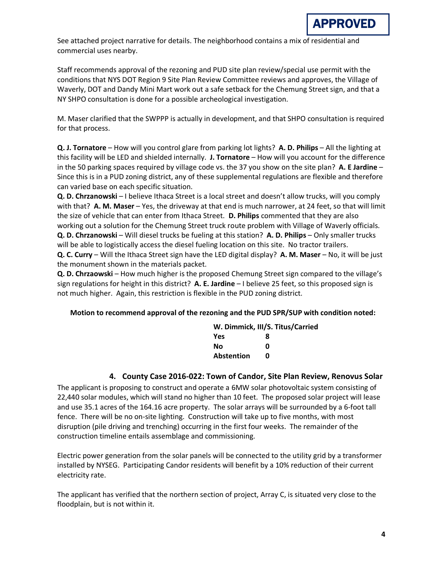See attached project narrative for details. The neighborhood contains a mix of residential and commercial uses nearby.

Staff recommends approval of the rezoning and PUD site plan review/special use permit with the conditions that NYS DOT Region 9 Site Plan Review Committee reviews and approves, the Village of Waverly, DOT and Dandy Mini Mart work out a safe setback for the Chemung Street sign, and that a NY SHPO consultation is done for a possible archeological investigation.

M. Maser clarified that the SWPPP is actually in development, and that SHPO consultation is required for that process.

**Q. J. Tornatore** – How will you control glare from parking lot lights? **A. D. Philips** – All the lighting at this facility will be LED and shielded internally. **J. Tornatore** – How will you account for the difference in the 50 parking spaces required by village code vs. the 37 you show on the site plan? **A. E Jardine** – Since this is in a PUD zoning district, any of these supplemental regulations are flexible and therefore can varied base on each specific situation.

**Q. D. Chrzanowski** – I believe Ithaca Street is a local street and doesn't allow trucks, will you comply with that? **A. M. Maser** – Yes, the driveway at that end is much narrower, at 24 feet, so that will limit the size of vehicle that can enter from Ithaca Street. **D. Philips** commented that they are also working out a solution for the Chemung Street truck route problem with Village of Waverly officials. **Q. D. Chrzanowski** – Will diesel trucks be fueling at this station? **A. D. Philips** – Only smaller trucks will be able to logistically access the diesel fueling location on this site. No tractor trailers.

**Q. C. Curry** – Will the Ithaca Street sign have the LED digital display? **A. M. Maser** – No, it will be just the monument shown in the materials packet.

**Q. D. Chrzaowski** – How much higher is the proposed Chemung Street sign compared to the village's sign regulations for height in this district? **A. E. Jardine** – I believe 25 feet, so this proposed sign is not much higher. Again, this restriction is flexible in the PUD zoning district.

## **Motion to recommend approval of the rezoning and the PUD SPR/SUP with condition noted:**

|            | W. Dimmick, III/S. Titus/Carried |
|------------|----------------------------------|
| <b>Yes</b> | x                                |
| No         | n                                |
| Abstention | n                                |

## **4. County Case 2016-022: Town of Candor, Site Plan Review, Renovus Solar**

The applicant is proposing to construct and operate a 6MW solar photovoltaic system consisting of 22,440 solar modules, which will stand no higher than 10 feet. The proposed solar project will lease and use 35.1 acres of the 164.16 acre property. The solar arrays will be surrounded by a 6-foot tall fence. There will be no on-site lighting. Construction will take up to five months, with most disruption (pile driving and trenching) occurring in the first four weeks. The remainder of the construction timeline entails assemblage and commissioning.

Electric power generation from the solar panels will be connected to the utility grid by a transformer installed by NYSEG. Participating Candor residents will benefit by a 10% reduction of their current electricity rate.

The applicant has verified that the northern section of project, Array C, is situated very close to the floodplain, but is not within it.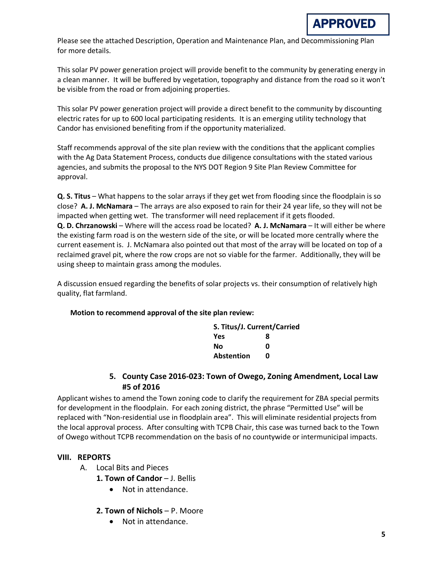Please see the attached Description, Operation and Maintenance Plan, and Decommissioning Plan for more details.

This solar PV power generation project will provide benefit to the community by generating energy in a clean manner. It will be buffered by vegetation, topography and distance from the road so it won't be visible from the road or from adjoining properties.

This solar PV power generation project will provide a direct benefit to the community by discounting electric rates for up to 600 local participating residents. It is an emerging utility technology that Candor has envisioned benefiting from if the opportunity materialized.

Staff recommends approval of the site plan review with the conditions that the applicant complies with the Ag Data Statement Process, conducts due diligence consultations with the stated various agencies, and submits the proposal to the NYS DOT Region 9 Site Plan Review Committee for approval.

**Q. S. Titus** – What happens to the solar arrays if they get wet from flooding since the floodplain is so close? **A. J. McNamara** – The arrays are also exposed to rain for their 24 year life, so they will not be impacted when getting wet. The transformer will need replacement if it gets flooded. **Q. D. Chrzanowski** – Where will the access road be located? **A. J. McNamara** – It will either be where the existing farm road is on the western side of the site, or will be located more centrally where the current easement is. J. McNamara also pointed out that most of the array will be located on top of a reclaimed gravel pit, where the row crops are not so viable for the farmer. Additionally, they will be using sheep to maintain grass among the modules.

A discussion ensued regarding the benefits of solar projects vs. their consumption of relatively high quality, flat farmland.

## **Motion to recommend approval of the site plan review:**

| S. Titus/J. Current/Carried |   |  |
|-----------------------------|---|--|
| Yes                         | 8 |  |
| No                          | ŋ |  |
| <b>Abstention</b>           | n |  |

## **5. County Case 2016-023: Town of Owego, Zoning Amendment, Local Law #5 of 2016**

Applicant wishes to amend the Town zoning code to clarify the requirement for ZBA special permits for development in the floodplain. For each zoning district, the phrase "Permitted Use" will be replaced with "Non-residential use in floodplain area". This will eliminate residential projects from the local approval process. After consulting with TCPB Chair, this case was turned back to the Town of Owego without TCPB recommendation on the basis of no countywide or intermunicipal impacts.

## **VIII. REPORTS**

A. Local Bits and Pieces

1. Town of Candor - J. Bellis

- Not in attendance.
- **2. Town of Nichols**  P. Moore
	- Not in attendance.